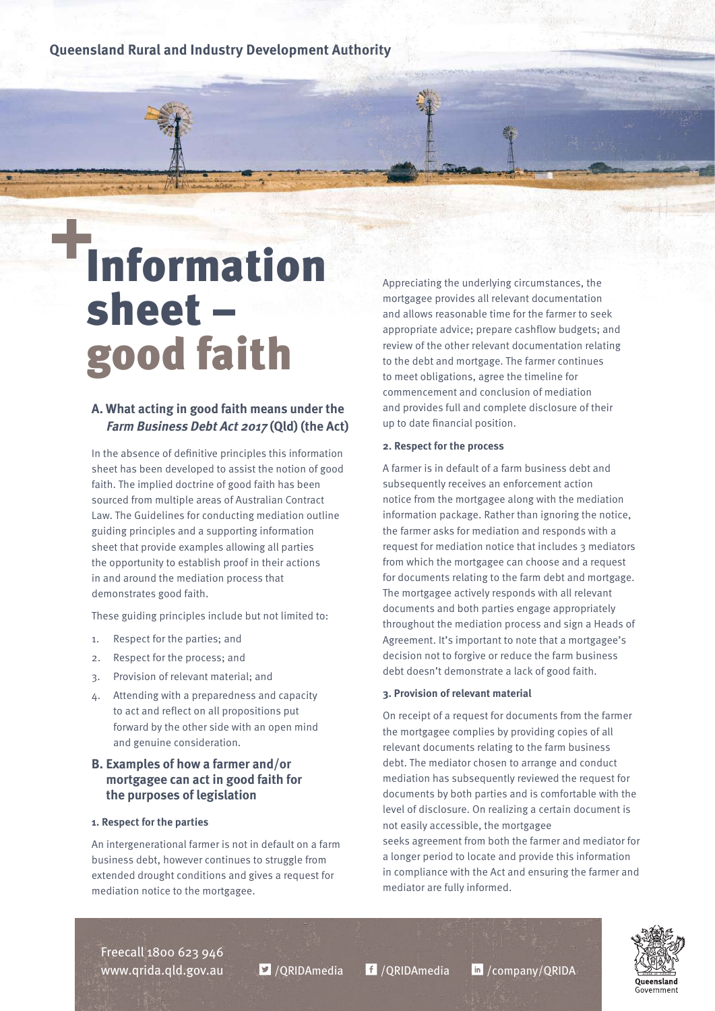**Queensland Rural and Industry Development Authority**

# **Information** sheet – good faith

## **A. What acting in good faith means under the Farm Business Debt Act 2017 (Qld) (the Act)**

In the absence of definitive principles this information sheet has been developed to assist the notion of good faith. The implied doctrine of good faith has been sourced from multiple areas of Australian Contract Law. The Guidelines for conducting mediation outline guiding principles and a supporting information sheet that provide examples allowing all parties the opportunity to establish proof in their actions in and around the mediation process that demonstrates good faith.

These guiding principles include but not limited to:

- 1. Respect for the parties; and
- 2. Respect for the process; and
- 3. Provision of relevant material; and
- 4. Attending with a preparedness and capacity to act and reflect on all propositions put forward by the other side with an open mind and genuine consideration.

## **B. Examples of how a farmer and/or mortgagee can act in good faith for the purposes of legislation**

### **1. Respect for the parties**

An intergenerational farmer is not in default on a farm business debt, however continues to struggle from extended drought conditions and gives a request for mediation notice to the mortgagee.

Appreciating the underlying circumstances, the mortgagee provides all relevant documentation and allows reasonable time for the farmer to seek appropriate advice; prepare cashflow budgets; and review of the other relevant documentation relating to the debt and mortgage. The farmer continues to meet obligations, agree the timeline for commencement and conclusion of mediation and provides full and complete disclosure of their up to date financial position.

#### **2. Respect for the process**

A farmer is in default of a farm business debt and subsequently receives an enforcement action notice from the mortgagee along with the mediation information package. Rather than ignoring the notice, the farmer asks for mediation and responds with a request for mediation notice that includes 3 mediators from which the mortgagee can choose and a request for documents relating to the farm debt and mortgage. The mortgagee actively responds with all relevant documents and both parties engage appropriately throughout the mediation process and sign a Heads of Agreement. It's important to note that a mortgagee's decision not to forgive or reduce the farm business debt doesn't demonstrate a lack of good faith.

#### **3. Provision of relevant material**

On receipt of a request for documents from the farmer the mortgagee complies by providing copies of all relevant documents relating to the farm business debt. The mediator chosen to arrange and conduct mediation has subsequently reviewed the request for documents by both parties and is comfortable with the level of disclosure. On realizing a certain document is not easily accessible, the mortgagee seeks agreement from both the farmer and mediator for a longer period to locate and provide this information in compliance with the Act and ensuring the farmer and mediator are fully informed.

Freecall 1800 623 946 www.qrida.qld.gov.au  $\blacksquare$  /QRIDAmedia  $\blacksquare$  /QRIDAmedia  $\blacksquare$  /company/QRIDA